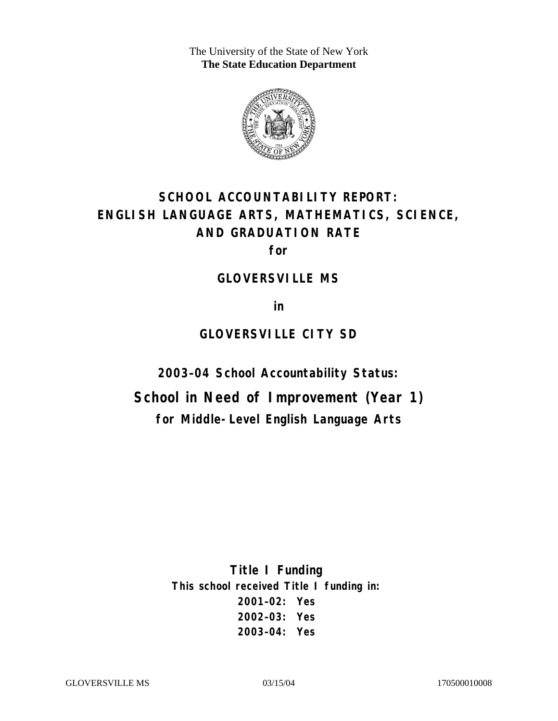The University of the State of New York **The State Education Department** 



# **SCHOOL ACCOUNTABILITY REPORT: ENGLISH LANGUAGE ARTS, MATHEMATICS, SCIENCE, AND GRADUATION RATE**

**for** 

#### **GLOVERSVILLE MS**

**in** 

### **GLOVERSVILLE CITY SD**

**2003–04 School Accountability Status:** 

**School in Need of Improvement (Year 1) for Middle-Level English Language Arts**

> **Title I Funding This school received Title I funding in: 2001–02: Yes 2002–03: Yes 2003–04: Yes**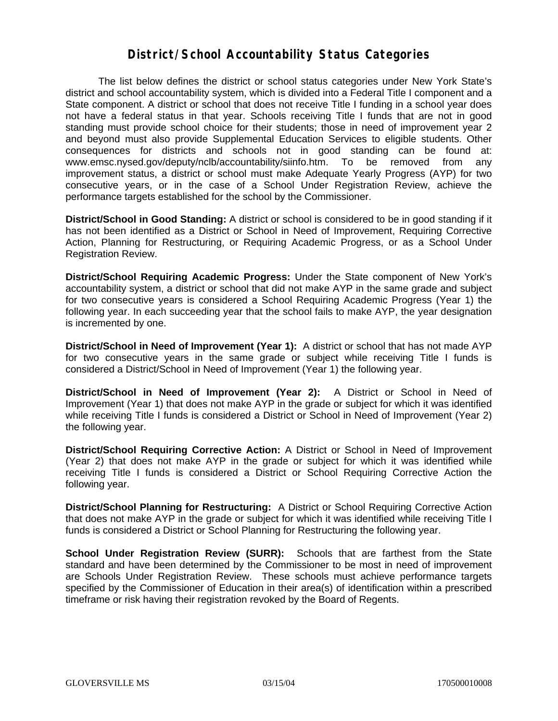#### **District/School Accountability Status Categories**

The list below defines the district or school status categories under New York State's district and school accountability system, which is divided into a Federal Title I component and a State component. A district or school that does not receive Title I funding in a school year does not have a federal status in that year. Schools receiving Title I funds that are not in good standing must provide school choice for their students; those in need of improvement year 2 and beyond must also provide Supplemental Education Services to eligible students. Other consequences for districts and schools not in good standing can be found at: www.emsc.nysed.gov/deputy/nclb/accountability/siinfo.htm. To be removed from any improvement status, a district or school must make Adequate Yearly Progress (AYP) for two consecutive years, or in the case of a School Under Registration Review, achieve the performance targets established for the school by the Commissioner.

**District/School in Good Standing:** A district or school is considered to be in good standing if it has not been identified as a District or School in Need of Improvement, Requiring Corrective Action, Planning for Restructuring, or Requiring Academic Progress, or as a School Under Registration Review.

**District/School Requiring Academic Progress:** Under the State component of New York's accountability system, a district or school that did not make AYP in the same grade and subject for two consecutive years is considered a School Requiring Academic Progress (Year 1) the following year. In each succeeding year that the school fails to make AYP, the year designation is incremented by one.

**District/School in Need of Improvement (Year 1):** A district or school that has not made AYP for two consecutive years in the same grade or subject while receiving Title I funds is considered a District/School in Need of Improvement (Year 1) the following year.

**District/School in Need of Improvement (Year 2):** A District or School in Need of Improvement (Year 1) that does not make AYP in the grade or subject for which it was identified while receiving Title I funds is considered a District or School in Need of Improvement (Year 2) the following year.

**District/School Requiring Corrective Action:** A District or School in Need of Improvement (Year 2) that does not make AYP in the grade or subject for which it was identified while receiving Title I funds is considered a District or School Requiring Corrective Action the following year.

**District/School Planning for Restructuring:** A District or School Requiring Corrective Action that does not make AYP in the grade or subject for which it was identified while receiving Title I funds is considered a District or School Planning for Restructuring the following year.

**School Under Registration Review (SURR):** Schools that are farthest from the State standard and have been determined by the Commissioner to be most in need of improvement are Schools Under Registration Review. These schools must achieve performance targets specified by the Commissioner of Education in their area(s) of identification within a prescribed timeframe or risk having their registration revoked by the Board of Regents.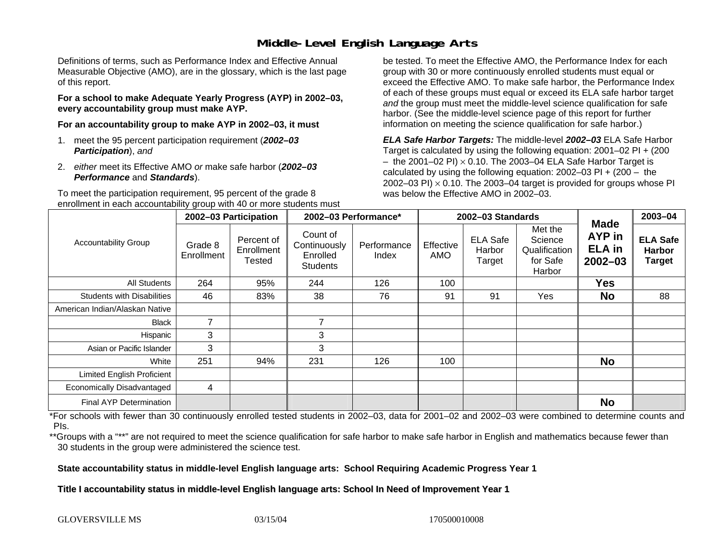# **Middle-Level English Language Arts**

Definitions of terms, such as Performance Index and Effective Annual Measurable Objective (AMO), are in the glossary, which is the last page of this report.

**For a school to make Adequate Yearly Progress (AYP) in 2002–03, every accountability group must make AYP.** 

**For an accountability group to make AYP in 2002–03, it must** 

- 1. meet the 95 percent participation requirement (*2002–03 Participation*), *and*
- 2. *either* meet its Effective AMO *or* make safe harbor (*2002–03 Performance* and *Standards*).

To meet the participation requirement, 95 percent of the grade 8 enrollment in each accountability group with 40 or more students must

be tested. To meet the Effective AMO, the Performance Index for each group with 30 or more continuously enrolled students must equal or exceed the Effective AMO. To make safe harbor, the Performance Index of each of these groups must equal or exceed its ELA safe harbor target *and* the group must meet the middle-level science qualification for safe harbor. (See the middle-level science page of this report for further information on meeting the science qualification for safe harbor.)

*ELA Safe Harbor Targets:* The middle-level *2002–03* ELA Safe Harbor Target is calculated by using the following equation: 2001–02 PI + (200  $-$  the 2001–02 PI)  $\times$  0.10. The 2003–04 ELA Safe Harbor Target is  $\,$ calculated by using the following equation:  $2002-03$  PI +  $(200 -$  the 2002–03 PI)  $\times$  0.10. The 2003–04 target is provided for groups whose PI was below the Effective AMO in 2002–03.

| <b>Accountability Group</b>       | 2002-03 Participation |                                    | 2002-03 Performance*                                    |                      | 2002-03 Standards |                                     |                                                           |                                                       | 2003-04                                           |
|-----------------------------------|-----------------------|------------------------------------|---------------------------------------------------------|----------------------|-------------------|-------------------------------------|-----------------------------------------------------------|-------------------------------------------------------|---------------------------------------------------|
|                                   | Grade 8<br>Enrollment | Percent of<br>Enrollment<br>Tested | Count of<br>Continuously<br>Enrolled<br><b>Students</b> | Performance<br>Index | Effective<br>AMO  | <b>ELA Safe</b><br>Harbor<br>Target | Met the<br>Science<br>Qualification<br>for Safe<br>Harbor | <b>Made</b><br>AYP in<br><b>ELA</b> in<br>$2002 - 03$ | <b>ELA Safe</b><br><b>Harbor</b><br><b>Target</b> |
| All Students                      | 264                   | 95%                                | 244                                                     | 126                  | 100               |                                     |                                                           | <b>Yes</b>                                            |                                                   |
| <b>Students with Disabilities</b> | 46                    | 83%                                | 38                                                      | 76                   | 91                | 91                                  | Yes                                                       | <b>No</b>                                             | 88                                                |
| American Indian/Alaskan Native    |                       |                                    |                                                         |                      |                   |                                     |                                                           |                                                       |                                                   |
| <b>Black</b>                      | $\overline{7}$        |                                    | $\overline{7}$                                          |                      |                   |                                     |                                                           |                                                       |                                                   |
| Hispanic                          | 3                     |                                    | 3                                                       |                      |                   |                                     |                                                           |                                                       |                                                   |
| Asian or Pacific Islander         | 3                     |                                    | 3                                                       |                      |                   |                                     |                                                           |                                                       |                                                   |
| White                             | 251                   | 94%                                | 231                                                     | 126                  | 100               |                                     |                                                           | <b>No</b>                                             |                                                   |
| Limited English Proficient        |                       |                                    |                                                         |                      |                   |                                     |                                                           |                                                       |                                                   |
| Economically Disadvantaged        | 4                     |                                    |                                                         |                      |                   |                                     |                                                           |                                                       |                                                   |
| <b>Final AYP Determination</b>    |                       |                                    |                                                         |                      |                   |                                     |                                                           | <b>No</b>                                             |                                                   |

\*For schools with fewer than 30 continuously enrolled tested students in 2002–03, data for 2001–02 and 2002–03 were combined to determine counts and PIs.

\*\*Groups with a "\*\*" are not required to meet the science qualification for safe harbor to make safe harbor in English and mathematics because fewer than 30 students in the group were administered the science test.

**State accountability status in middle-level English language arts: School Requiring Academic Progress Year 1** 

Title I accountability status in middle-level English language arts: School In Need of Improvement Year 1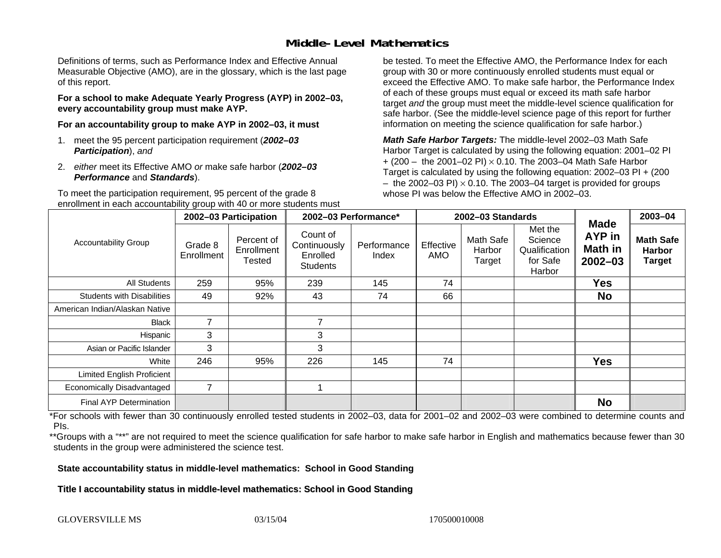# **Middle-Level Mathematics**

Definitions of terms, such as Performance Index and Effective Annual Measurable Objective (AMO), are in the glossary, which is the last page of this report.

**For a school to make Adequate Yearly Progress (AYP) in 2002–03, every accountability group must make AYP.** 

**For an accountability group to make AYP in 2002–03, it must** 

- 1. meet the 95 percent participation requirement (*2002–03 Participation*), *and*
- 2. *either* meet its Effective AMO *or* make safe harbor (*2002–03 Performance* and *Standards*).

To meet the participation requirement, 95 percent of the grade 8 enrollment in each accountability group with 40 or more students must

be tested. To meet the Effective AMO, the Performance Index for each group with 30 or more continuously enrolled students must equal or exceed the Effective AMO. To make safe harbor, the Performance Index of each of these groups must equal or exceed its math safe harbor target *and* the group must meet the middle-level science qualification for safe harbor. (See the middle-level science page of this report for further information on meeting the science qualification for safe harbor.)

*Math Safe Harbor Targets:* The middle-level 2002–03 Math Safe Harbor Target is calculated by using the following equation: 2001–02 PI + (200 – the 2001–02 PI) × 0.10. The 2003–04 Math Safe Harbor Target is calculated by using the following equation: 2002–03 PI + (200  $-$  the 2002–03 PI)  $\times$  0.10. The 2003–04 target is provided for groups whose PI was below the Effective AMO in 2002–03

| <b>Accountability Group</b>       | 2002-03 Participation |                                    | 2002-03 Performance*                                    |                      | 2002-03 Standards |                               |                                                           |                                                               | 2003-04                                            |
|-----------------------------------|-----------------------|------------------------------------|---------------------------------------------------------|----------------------|-------------------|-------------------------------|-----------------------------------------------------------|---------------------------------------------------------------|----------------------------------------------------|
|                                   | Grade 8<br>Enrollment | Percent of<br>Enrollment<br>Tested | Count of<br>Continuously<br>Enrolled<br><b>Students</b> | Performance<br>Index | Effective<br>AMO  | Math Safe<br>Harbor<br>Target | Met the<br>Science<br>Qualification<br>for Safe<br>Harbor | <b>Made</b><br><b>AYP</b> in<br><b>Math in</b><br>$2002 - 03$ | <b>Math Safe</b><br><b>Harbor</b><br><b>Target</b> |
| <b>All Students</b>               | 259                   | 95%                                | 239                                                     | 145                  | 74                |                               |                                                           | <b>Yes</b>                                                    |                                                    |
| <b>Students with Disabilities</b> | 49                    | 92%                                | 43                                                      | 74                   | 66                |                               |                                                           | <b>No</b>                                                     |                                                    |
| American Indian/Alaskan Native    |                       |                                    |                                                         |                      |                   |                               |                                                           |                                                               |                                                    |
| <b>Black</b>                      | $\overline{7}$        |                                    |                                                         |                      |                   |                               |                                                           |                                                               |                                                    |
| Hispanic                          | 3                     |                                    | 3                                                       |                      |                   |                               |                                                           |                                                               |                                                    |
| Asian or Pacific Islander         | 3                     |                                    | 3                                                       |                      |                   |                               |                                                           |                                                               |                                                    |
| White                             | 246                   | 95%                                | 226                                                     | 145                  | 74                |                               |                                                           | <b>Yes</b>                                                    |                                                    |
| Limited English Proficient        |                       |                                    |                                                         |                      |                   |                               |                                                           |                                                               |                                                    |
| Economically Disadvantaged        | 7                     |                                    |                                                         |                      |                   |                               |                                                           |                                                               |                                                    |
| Final AYP Determination           |                       |                                    |                                                         |                      |                   |                               |                                                           | <b>No</b>                                                     |                                                    |

\*For schools with fewer than 30 continuously enrolled tested students in 2002–03, data for 2001–02 and 2002–03 were combined to determine counts and PIs.

\*\*Groups with a "\*\*" are not required to meet the science qualification for safe harbor to make safe harbor in English and mathematics because fewer than 30 students in the group were administered the science test.

**State accountability status in middle-level mathematics: School in Good Standing** 

Title I accountability status in middle-level mathematics: School in Good Standing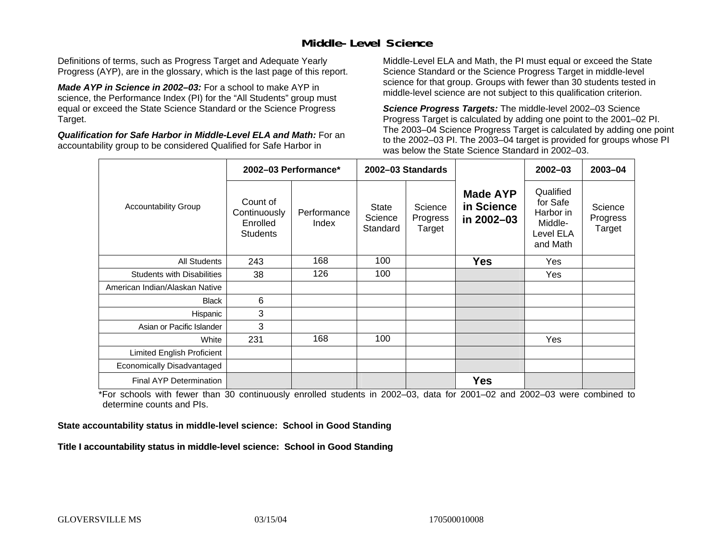# **Middle-Level Science**

Definitions of terms, such as Progress Target and Adequate Yearly Progress (AYP), are in the glossary, which is the last page of this report.

*Made AYP in Science in 2002–03:* For a school to make AYP in science, the Performance Index (PI) for the "All Students" group must equal or exceed the State Science Standard or the Science Progress Target.

*Qualification for Safe Harbor in Middle-Level ELA and Math:* For an accountability group to be considered Qualified for Safe Harbor in

Middle-Level ELA and Math, the PI must equal or exceed the State Science Standard or the Science Progress Target in middle-level science for that group. Groups with fewer than 30 students tested in middle-level science are not subject to this qualification criterion.

*Science Progress Targets:* The middle-level 2002–03 Science Progress Target is calculated by adding one point to the 2001–02 PI. The 2003–04 Science Progress Target is calculated by adding one point to the 2002–03 PI. The 2003–04 target is provided for groups whose PI was below the State Science Standard in 2002–03.

|                                   |                                                         | 2002-03 Performance* |                              | 2002–03 Standards             |                                             | $2002 - 03$                                                            | $2003 - 04$                   |
|-----------------------------------|---------------------------------------------------------|----------------------|------------------------------|-------------------------------|---------------------------------------------|------------------------------------------------------------------------|-------------------------------|
| <b>Accountability Group</b>       | Count of<br>Continuously<br>Enrolled<br><b>Students</b> | Performance<br>Index | State<br>Science<br>Standard | Science<br>Progress<br>Target | <b>Made AYP</b><br>in Science<br>in 2002-03 | Qualified<br>for Safe<br>Harbor in<br>Middle-<br>Level ELA<br>and Math | Science<br>Progress<br>Target |
| <b>All Students</b>               | 243                                                     | 168                  | 100                          |                               | <b>Yes</b>                                  | Yes                                                                    |                               |
| <b>Students with Disabilities</b> | 38                                                      | 126                  | 100                          |                               |                                             | Yes                                                                    |                               |
| American Indian/Alaskan Native    |                                                         |                      |                              |                               |                                             |                                                                        |                               |
| <b>Black</b>                      | 6                                                       |                      |                              |                               |                                             |                                                                        |                               |
| Hispanic                          | 3                                                       |                      |                              |                               |                                             |                                                                        |                               |
| Asian or Pacific Islander         | 3                                                       |                      |                              |                               |                                             |                                                                        |                               |
| White                             | 231                                                     | 168                  | 100                          |                               |                                             | Yes                                                                    |                               |
| Limited English Proficient        |                                                         |                      |                              |                               |                                             |                                                                        |                               |
| Economically Disadvantaged        |                                                         |                      |                              |                               |                                             |                                                                        |                               |
| <b>Final AYP Determination</b>    |                                                         |                      |                              |                               | <b>Yes</b>                                  |                                                                        |                               |

\*For schools with fewer than 30 continuously enrolled students in 2002–03, data for 2001–02 and 2002–03 were combined to determine counts and PIs.

**State accountability status in middle-level science: School in Good Standing** 

Title I accountability status in middle-level science: School in Good Standing